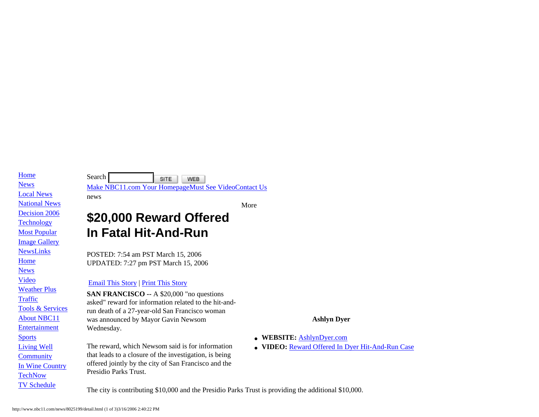<span id="page-0-0"></span>[Home](http://www.nbc11.com/) [News](http://www.nbc11.com/) [Local News](http://www.nbc11.com/news/) [National News](http://www.nbc11.com/nationalnews/) [Decision 2006](http://www.nbc11.com/politics/) **[Technology](http://www.nbc11.com/technology/)** [Most Popular](http://www.nbc11.com/mostpopular/) [Image Gallery](http://www.nbc11.com/slideshows/) [NewsLinks](http://www.nbc11.com/newslinks/) [Home](http://www.nbc11.com/) [News](http://www.nbc11.com/news/) [Video](http://www.nbc11.com/video/) [Weather Plus](http://kntv.nbcweatherplus.com/wxplocal/index.html) **[Traffic](http://www.nbc11.com/traffic/)** [Tools & Services](http://www.nbc11.com/digitaltools/) [About NBC11](http://www.nbc11.com/station/) [Entertainment](http://www.nbc11.com/entertainment/) [Sports](http://www.nbc11.com/sports/) [Living Well](http://www.nbc11.com/health/) **[Community](http://www.nbc11.com/community/)** [In Wine Country](http://www.nbc11.com/inwinecountry/index.html) **[TechNow](http://www.nbc11.com/technology/index.html)** [TV Schedule](http://www.nbc11.com/tvlistings/index.html)

Search SITE | WEB [Make NBC11.com Your Homepage](http://www.nbc11.com/news/1032852/detail.html)[Must See Video](http://www.nbc11.com/#video_2)[Contact Us](http://www.nbc11.com/contactus/)

news

More

# **\$20,000 Reward Offered In Fatal Hit-And-Run**

POSTED: 7:54 am PST March 15, 2006 UPDATED: 7:27 pm PST March 15, 2006

### [Email This Story](javascript:popUp() | [Print This Story](#page-0-0)

**SAN FRANCISCO --** A \$20,000 "no questions asked" reward for information related to the hit-andrun death of a 27-year-old San Francisco woman was announced by Mayor Gavin Newsom Wednesday.

The reward, which Newsom said is for information that leads to a closure of the investigation, is being offered jointly by the city of San Francisco and the Presidio Parks Trust.

#### **Ashlyn Dyer**

- **WEBSITE:** [AshlynDyer.com](http://www.ashlyndyer.com/)
- **VIDEO:** [Reward Offered In Dyer Hit-And-Run Case](#page-0-0)

The city is contributing \$10,000 and the Presidio Parks Trust is providing the additional \$10,000.